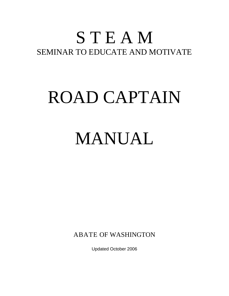### S T E A M SEMINAR TO EDUCATE AND MOTIVATE

# ROAD CAPTAIN

## MANUAL

ABATE OF WASHINGTON

Updated October 2006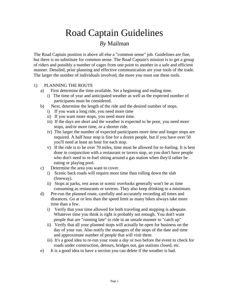### Road Captain Guidelines *By* Mailman

The Road Captain position is above all else a "common sense" job. Guidelines are fine, but there is no substitute for common sense. The Road Captain's mission is to get a group of riders and possibly a number of cages from one point to another in a safe and efficient manner. Detailed, prior planning and effective communication are your tools of the trade. The larger the number of individuals involved, the more you must use these tools.

#### 1) PLANNING THE ROUTE

- a) First determine the time available. Set a beginning and ending time.
	- i) The time of year and anticipated weather as well as the expected number of participants must be considered.
- b) Next, determine the length of the ride and the desired number of stops.
	- i) If you want a long ride, you need more time
	- ii) If you want more stops, you need more time.
	- iii) If the days are short and the weather is expected to be poor, you need more stops, and/or more time, or a shorter ride.
	- iv) The larger the number of expected participants more time and longer stops are required. A half hour stop is fine for a dozen people, but if you have over 50 you'll need at least an hour for each stop.
	- v) If the ride is to be over 70 miles, time must be allowed for re-fueling. It is best done in conjunction with a restaurant or tavern stop, so you don't have people who don't need to re-fuel sitting around a gas station when they'd rather be eating or playing pool.
- c) Determine the area you want to cover.
	- i) Scenic back roads will require more time than rolling down the slab (freeway).
	- ii) Stops at parks, rest areas or scenic overlooks generally won't be as time consuming as restaurants or taverns. They also keep drinking to a minimum.
- d) Pre-run the planned route, carefully and accurately recording all times and distances. Go at or less than the speed limit as many bikes always take more time than a few.
	- i) Verify that your time allowed for both traveling and stopping is adequate. Whatever time you think is right is probably not enough. You don't want people that are "running late" to ride in an unsafe manner to "catch up"
	- ii) Verify that all your planned stops will actually be open for business on the day of your run. Also notify the managers of the stops of the date and time and approximate number of people that will visit them.
	- iii) It's a good idea to re-run your route a day or two before the event to check for roads under construction, detours, bridges out, gas stations closed, etc.
- e) It is a good idea to have a section you can delete if the weather is bad.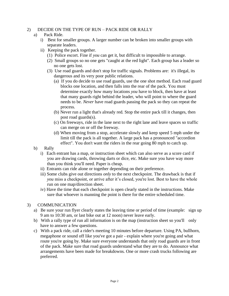#### 2) DECIDE ON THE TYPE OF RUN – PACK RIDE OR RALLY

#### a) Pack Ride.

- i) Best for smaller groups. A larger number can be broken into smaller groups with separate leaders.
- ii) Keeping the pack together.
	- (1) Police escort. Fine if *you* can get it, but difficult to impossible to arrange.
	- (2) Small groups so no one gets "caught at the red light". Each group has a leader so no one gets lost.
	- (3) Use road guards and don't stop for traffic signals. Problems are: it's illegal, its dangerous and its very poor public relations.
		- (a) If you do decide to use road guards, use the one shot method. Each road guard blocks one location, and then falls into the rear of the pack. You must determine exactly how many locations *you* have to block, then have at least that many guards right behind the leader, who will point to where the guard needs to be. *Never* have road guards passing the pack so they can repeat the process.
		- (b) Never run a light that's already red. Stop the entire pack till it changes, then post road guards(s).
		- (c) On freeways, ride in the lane next to the right lane and leave spaces so traffic can merge on or off the freeway.
		- (d) When moving from a stop, accelerate slowly and keep speed 5 mph under the limit till the pack is all together. A large pack has a pronounced "accordion effect". You don't want the riders in the rear going 80 mph to catch up.
- b) Rally
	- i) Each entrant has a map, or instruction sheet which can also serve as a score card if you are drawing cards, throwing darts or dice, etc. Make sure you have way more than you think you'll need. Paper is cheap.
	- ii) Entrants can ride alone or together depending on their preference.
	- iii) Some clubs give out directions *only* to the next checkpoint. The drawback is that if *you* miss a checkpoint, or arrive after it's closed, you're lost. Best to have the whole run on one map/direction sheet.
	- iv) Have the time that each checkpoint is open clearly stated in the instructions. Make sure that whoever is manning the point is there for the entire scheduled time.

#### 3) COMMUNICATION

- a) Be sure your run flyer clearly states the leaving time or period of time (example: sign up 9 am to 10:30 am, or last bike out at 12 noon) never leave early.
- b) With a rally type of run all information is on the map (instruction sheet so you'll only have to answer a few questions.
- c) With a pack ride, call a rider's meeting 10 minutes before departure. Using PA, bullhorn, megaphone or sound off like you've got a pair - explain where you're going and what route you're going by. Make sure everyone understands that only road guards are in front of the pack. Make sure that road guards understand what they are to do. Announce what arrangements have been made for breakdowns. One or more crash trucks following are preferred.